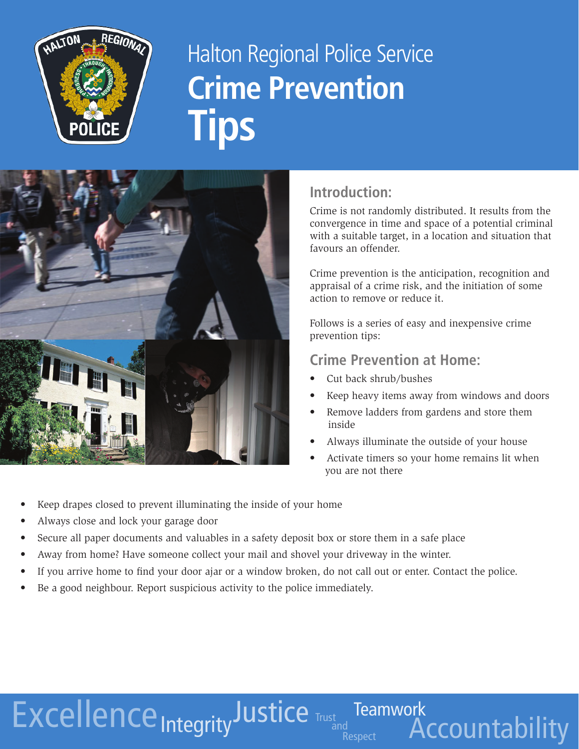

# Halton Regional Police Service **Crime Prevention Tips**



### **Introduction:**

Crime is not randomly distributed. It results from the convergence in time and space of a potential criminal with a suitable target, in a location and situation that favours an offender.

Crime prevention is the anticipation, recognition and appraisal of a crime risk, and the initiation of some action to remove or reduce it.

Follows is a series of easy and inexpensive crime prevention tips:

#### **Crime Prevention at Home:**

Cut back shrub/bushes

a<br>Respect

Teamwork

**Accountability** 

- Keep heavy items away from windows and doors
- Remove ladders from gardens and store them inside
- Always illuminate the outside of your house
- Activate timers so your home remains lit when you are not there
- Keep drapes closed to prevent illuminating the inside of your home
- Always close and lock your garage door
- Secure all paper documents and valuables in a safety deposit box or store them in a safe place
- Away from home? Have someone collect your mail and shovel your driveway in the winter.
- If you arrive home to find your door ajar or a window broken, do not call out or enter. Contact the police.
- Be a good neighbour. Report suspicious activity to the police immediately.

Excellence IntegrityJustice Trust